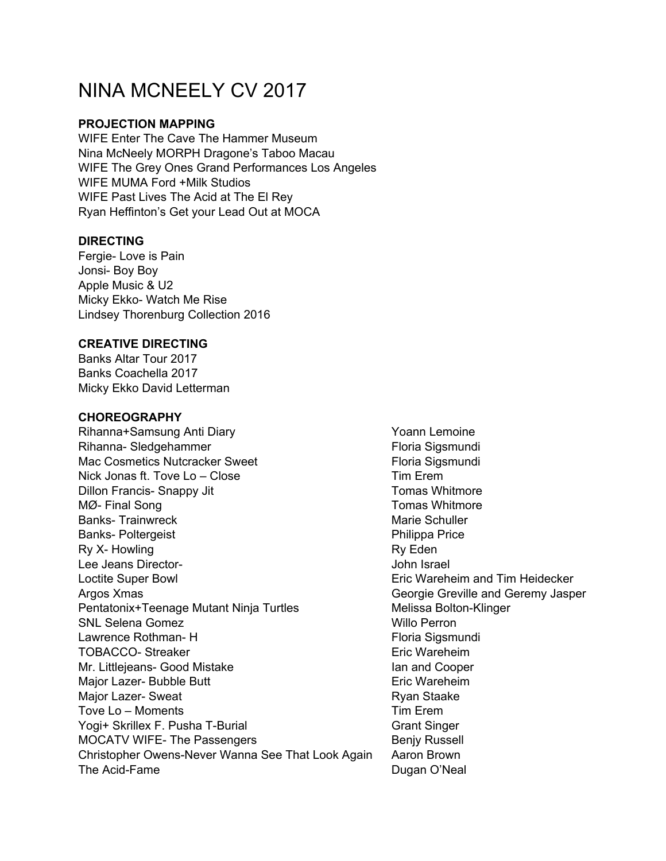# NINA MCNEELY CV 2017

## **PROJECTION MAPPING**

WIFE Enter The Cave The Hammer Museum Nina McNeely MORPH Dragone's Taboo Macau WIFE The Grey Ones Grand Performances Los Angeles WIFE MUMA Ford +Milk Studios WIFE Past Lives The Acid at The El Rey Ryan Heffinton's Get your Lead Out at MOCA

# **DIRECTING**

Fergie- Love is Pain Jonsi- Boy Boy Apple Music & U2 Micky Ekko- Watch Me Rise Lindsey Thorenburg Collection 2016

## **CREATIVE DIRECTING**

Banks Altar Tour 2017 Banks Coachella 2017 Micky Ekko David Letterman

### **CHOREOGRAPHY**

Rihanna+Samsung Anti Diary **Yoann Lemoine** Yoann Lemoine Rihanna- Sledgehammer Floria Sigsmundi Mac Cosmetics Nutcracker Sweet Floria Sigsmundi Nick Jonas ft. Tove Lo – Close The Contract Contract Contract Contract Contract Contract Contract Contract Contract Contract Contract Contract Contract Contract Contract Contract Contract Contract Contract Contract Contrac Dillon Francis- Snappy Jit Tomas Whitmore MØ- Final Song Tomas Whitmore Banks- Trainwreck **Marie Schuller** Marie Schuller Banks- Poltergeist **Philippa Price** Ry X- Howling Ry Eden Lee Jeans Director-<br>
Lee Jeans Director-Loctite Super Bowl Eric Wareheim and Tim Heidecker Argos Xmas Georgie Greville and Geremy Jasper Pentatonix+Teenage Mutant Ninja Turtles Melissa Bolton-Klinger SNL Selena Gomez **Willo Perron** Lawrence Rothman- H Floria Sigsmundi TOBACCO- Streaker Eric Wareheim Mr. Littlejeans- Good Mistake Ian and Cooper Major Lazer- Bubble Butt **Example 2018** Eric Wareheim Major Lazer- Sweat **Ryan Staake** Ryan Staake Tove Lo – Moments Tove Lo – Moments Yogi+ Skrillex F. Pusha T-Burial Grant Singer MOCATV WIFE- The Passengers Benjy Russell Christopher Owens-Never Wanna See That Look Again Aaron Brown The Acid-Fame **Dugan O'Neal**